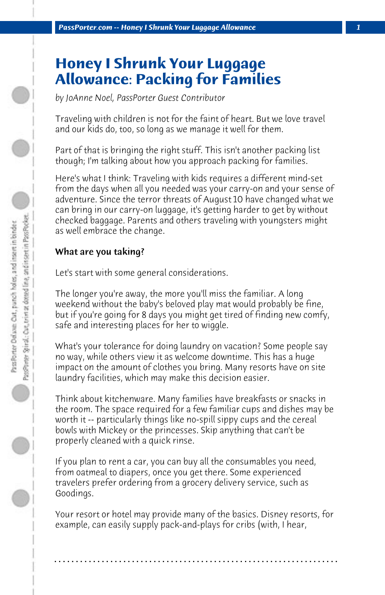# **Honey I Shrunk Your Luggage Allowance: Packing for Families**

*by JoAnne Noel, PassPorter Guest Contributor*

Traveling with children is not for the faint of heart. But we love travel and our kids do, too, so long as we manage it well for them.

Part of that is bringing the right stuff. This isn't another packing list though; I'm talking about how you approach packing for families.

Here's what I think: Traveling with kids requires a different mind-set from the days when all you needed was your carry-on and your sense of adventure. Since the terror threats of August 10 have changed what we can bring in our carry-on luggage, it's getting harder to get by without checked baggage. Parents and others traveling with youngsters might as well embrace the change.

#### What are you taking?

Let's start with some general considerations.

The longer you're away, the more you'll miss the familiar. A long weekend without the baby's beloved play mat would probably be fine, but if you're going for 8 days you might get tired of finding new comfy, safe and interesting places for her to wiggle.

What's your tolerance for doing laundry on vacation? Some people say no way, while others view it as welcome downtime. This has a huge impact on the amount of clothes you bring. Many resorts have on site laundry facilities, which may make this decision easier.

Think about kitchenware. Many families have breakfasts or snacks in the room. The space required for a few familiar cups and dishes may be worth it -- particularly things like no-spill sippy cups and the cereal bowls with Mickey or the princesses. Skip anything that can't be properly cleaned with a quick rinse.

If you plan to rent a car, you can buy all the consumables you need, from oatmeal to diapers, once you get there. Some experienced travelers prefer ordering from a grocery delivery service, such as Goodings.

Your resort or hotel may provide many of the basics. Disney resorts, for example, can easily supply pack-and-plays for cribs (with, I hear,

**. . . . . . . . . . . . . . . . . . . . . . . . . . . . . . . . . . . . . . . . . . . . . . . . . . . . . . . . . . . . . . . . . .**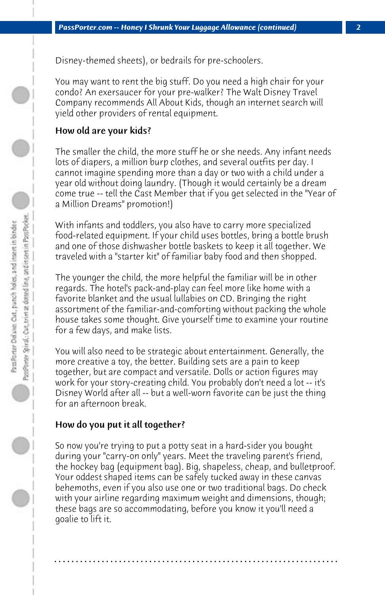Disney-themed sheets), or bedrails for pre-schoolers.

You may want to rent the big stuff. Do you need a high chair for your condo? An exersaucer for your pre-walker? The Walt Disney Travel Company recommends All About Kids, though an internet search will yield other providers of rental equipment.

## How old are your kids?

The smaller the child, the more stuff he or she needs. Any infant needs lots of diapers, a million burp clothes, and several outfits per day. I cannot imagine spending more than a day or two with a child under a year old without doing laundry. (Though it would certainly be a dream come true -- tell the Cast Member that if you get selected in the "Year of a Million Dreams" promotion!)

With infants and toddlers, you also have to carry more specialized food-related equipment. If your child uses bottles, bring a bottle brush and one of those dishwasher bottle baskets to keep it all together. We traveled with a "starter kit" of familiar baby food and then shopped.

The younger the child, the more helpful the familiar will be in other regards. The hotel's pack-and-play can feel more like home with a favorite blanket and the usual lullabies on CD. Bringing the right assortment of the familiar-and-comforting without packing the whole house takes some thought. Give yourself time to examine your routine for a few days, and make lists.

You will also need to be strategic about entertainment. Generally, the more creative a toy, the better. Building sets are a pain to keep together, but are compact and versatile. Dolls or action figures may work for your story-creating child. You probably don't need a lot -- it's Disney World after all -- but a well-worn favorite can be just the thing for an afternoon break.

## How do you put it all together?

So now you're trying to put a potty seat in a hard-sider you bought during your "carry-on only" years. Meet the traveling parent's friend, the hockey bag (equipment bag). Big, shapeless, cheap, and bulletproof. Your oddest shaped items can be safely tucked away in these canvas behemoths, even if you also use one or two traditional bags. Do check with your airline regarding maximum weight and dimensions, though; these bags are so accommodating, before you know it you'll need a goalie to lift it.

**. . . . . . . . . . . . . . . . . . . . . . . . . . . . . . . . . . . . . . . . . . . . . . . . . . . . . . . . . . . . . . . . . .**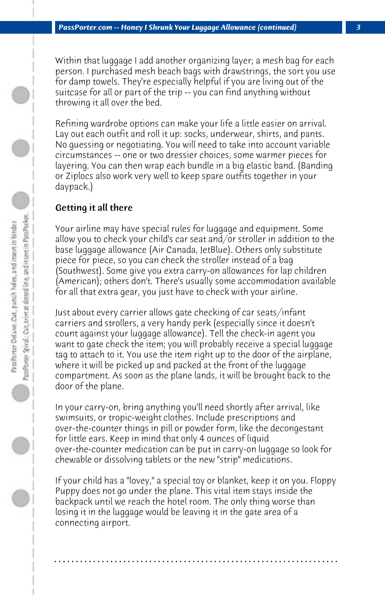Within that luggage I add another organizing layer; a mesh bag for each person. I purchased mesh beach bags with drawstrings, the sort you use for damp towels. They're especially helpful if you are living out of the suitcase for all or part of the trip -- you can find anything without throwing it all over the bed.

Refining wardrobe options can make your life a little easier on arrival. Lay out each outfit and roll it up: socks, underwear, shirts, and pants. No guessing or negotiating. You will need to take into account variable circumstances -- one or two dressier choices, some warmer pieces for layering. You can then wrap each bundle in a big elastic band. (Banding or Ziplocs also work very well to keep spare outfits together in your daypack.)

#### Getting it all there

Your airline may have special rules for luggage and equipment. Some allow you to check your child's car seat and/or stroller in addition to the base luggage allowance (Air Canada, JetBlue). Others only substitute piece for piece, so you can check the stroller instead of a bag (Southwest). Some give you extra carry-on allowances for lap children (American); others don't. There's usually some accommodation available for all that extra gear, you just have to check with your airline.

Just about every carrier allows gate checking of car seats/infant carriers and strollers, a very handy perk (especially since it doesn't count against your luggage allowance). Tell the check-in agent you want to gate check the item; you will probably receive a special luggage tag to attach to it. You use the item right up to the door of the airplane, where it will be picked up and packed at the front of the luggage compartment. As soon as the plane lands, it will be brought back to the door of the plane.

In your carry-on, bring anything you'll need shortly after arrival, like swimsuits, or tropic-weight clothes. Include prescriptions and over-the-counter things in pill or powder form, like the decongestant for little ears. Keep in mind that only 4 ounces of liquid over-the-counter medication can be put in carry-on luggage so look for chewable or dissolving tablets or the new "strip" medications.

If your child has a "lovey," a special toy or blanket, keep it on you. Floppy Puppy does not go under the plane. This vital item stays inside the backpack until we reach the hotel room. The only thing worse than losing it in the luggage would be leaving it in the gate area of a connecting airport.

**. . . . . . . . . . . . . . . . . . . . . . . . . . . . . . . . . . . . . . . . . . . . . . . . . . . . . . . . . . . . . . . . . .**